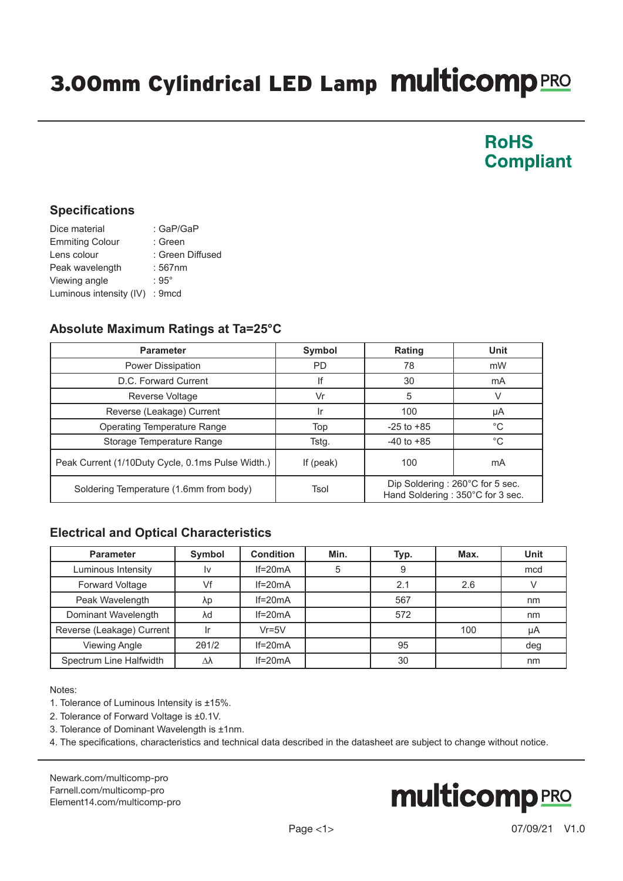## 3.00mm Cylindrical LED Lamp Multicomp PRO

### **RoHS Compliant**

#### **Specifications**

| Dice material                  | : GaP/GaP        |
|--------------------------------|------------------|
| <b>Emmiting Colour</b>         | : Green          |
| Lens colour                    | : Green Diffused |
| Peak wavelength                | : 567nm          |
| Viewing angle                  | $:95^{\circ}$    |
| Luminous intensity (IV) : 9mcd |                  |

#### **Absolute Maximum Ratings at Ta=25°C**

| <b>Parameter</b>                                  | Symbol      | <b>Rating</b>                                                       | Unit        |
|---------------------------------------------------|-------------|---------------------------------------------------------------------|-------------|
| Power Dissipation                                 | <b>PD</b>   | 78                                                                  | mW          |
| D.C. Forward Current                              | lf          | 30                                                                  | mA          |
| Reverse Voltage                                   | Vr          | 5                                                                   |             |
| Reverse (Leakage) Current                         |             | 100                                                                 | μA          |
| <b>Operating Temperature Range</b>                | Top         | $-25$ to $+85$                                                      | $^{\circ}C$ |
| Storage Temperature Range                         | Tstg.       | $-40$ to $+85$                                                      | °C          |
| Peak Current (1/10Duty Cycle, 0.1ms Pulse Width.) | If $(peak)$ | 100                                                                 | mA          |
| Soldering Temperature (1.6mm from body)           | Tsol        | Dip Soldering: 260°C for 5 sec.<br>Hand Soldering: 350°C for 3 sec. |             |

#### **Electrical and Optical Characteristics**

| <b>Parameter</b>          | Symbol | <b>Condition</b> | Min. | Typ. | Max. | <b>Unit</b> |
|---------------------------|--------|------------------|------|------|------|-------------|
| Luminous Intensity        | 1v     | $If=20mA$        | 5    |      |      | mcd         |
| Forward Voltage           | Vf     | $If=20mA$        |      | 2.1  | 2.6  |             |
| Peak Wavelength           | λp     | $If=20mA$        |      | 567  |      | nm          |
| Dominant Wavelength       | λd     | $If=20mA$        |      | 572  |      | nm          |
| Reverse (Leakage) Current |        | $Vr = 5V$        |      |      | 100  | μA          |
| <b>Viewing Angle</b>      | 201/2  | $If=20mA$        |      | 95   |      | deg         |
| Spectrum Line Halfwidth   | Δλ     | $If=20mA$        |      | 30   |      | nm          |

Notes:

1. Tolerance of Luminous Intensity is ±15%.

- 2. Tolerance of Forward Voltage is ±0.1V.
- 3. Tolerance of Dominant Wavelength is ±1nm.

4. The specifications, characteristics and technical data described in the datasheet are subject to change without notice.

[Newark.com/multicomp-](https://www.newark.com/multicomp-pro)pro [Farnell.com/multicomp](https://www.farnell.com/multicomp-pro)-pro [Element14.com/multicomp-pro](https://element14.com/multicomp-pro)

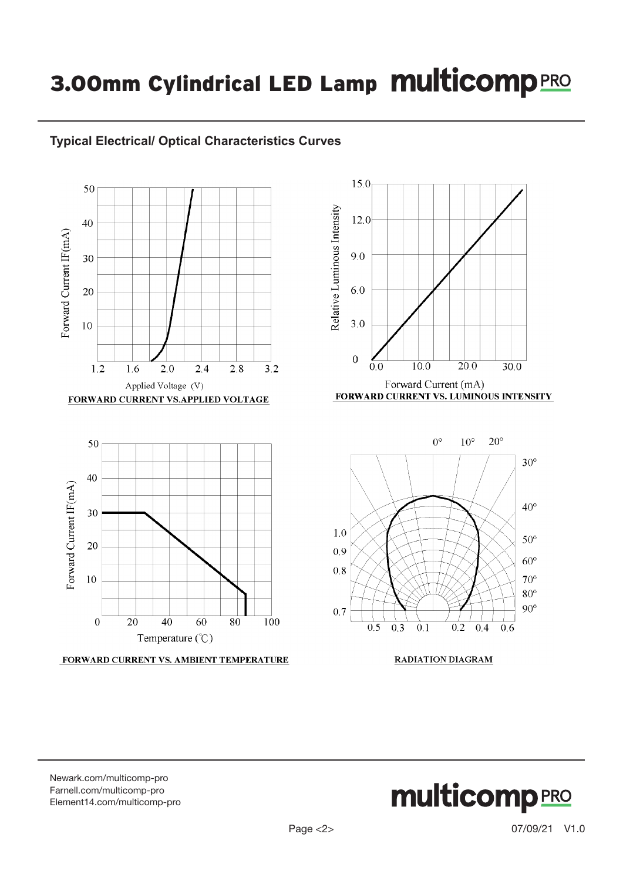### 3.00mm Cylindrical LED Lamp Multicomp PRO





FORWARD CURRENT VS. AMBIENT TEMPERATURE

**RADIATION DIAGRAM** 

[Newark.com/multicomp-](https://www.newark.com/multicomp-pro)pro [Farnell.com/multicomp](https://www.farnell.com/multicomp-pro)-pro [Element14.com/multicomp-pro](https://element14.com/multicomp-pro)